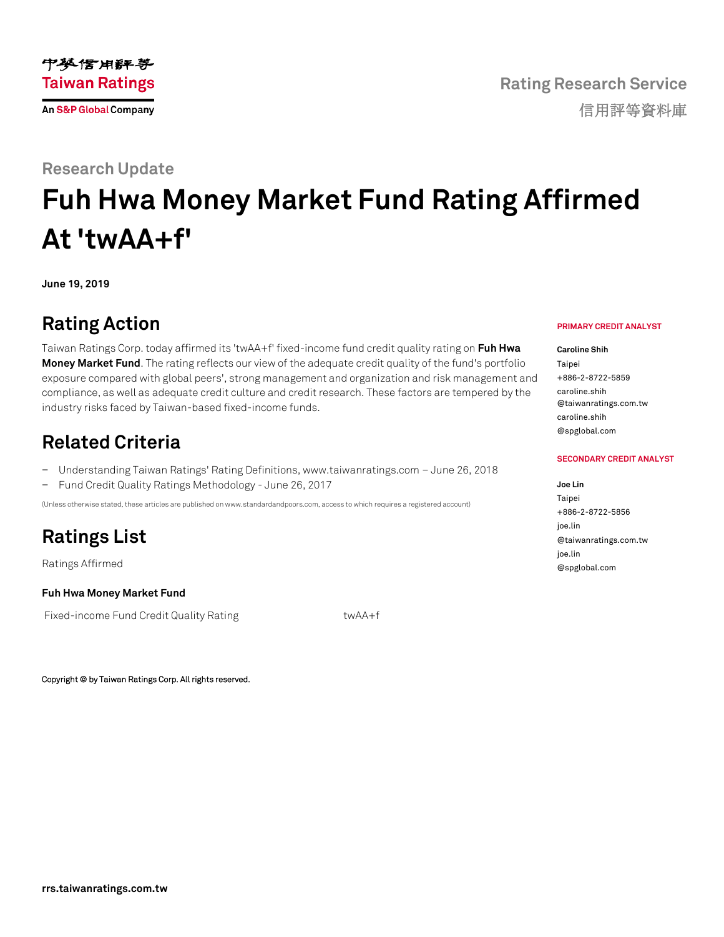### **Research Update**

# **Fuh Hwa Money Market Fund Rating Affirmed At 'twAA+f'**

**June 19, 2019**

## **Rating Action**

Taiwan Ratings Corp. today affirmed its 'twAA+f' fixed-income fund credit quality rating on **[Fuh Hwa](https://rrs.taiwanratings.com.tw/portal/member/viewFund/533)  [Money Market Fund](https://rrs.taiwanratings.com.tw/portal/member/viewFund/533)**. The rating reflects our view of the adequate credit quality of the fund's portfolio exposure compared with global peers', strong management and organization and risk management and compliance, as well as adequate credit culture and credit research. These factors are tempered by the industry risks faced by Taiwan-based fixed-income funds.

### **Related Criteria**

- − Understanding Taiwan Ratings' Rating Definitions, www.taiwanratings.com June 26, 2018
- − Fund Credit Quality Ratings Methodology June 26, 2017

(Unless otherwise stated, these articles are published on www.standardandpoors.com, access to which requires a registered account)

# **Ratings List**

Ratings Affirmed

#### **Fuh Hwa Money Market Fund**

Fixed-income Fund Credit Quality Rating twa twAA+f

Copyright © by Taiwan Ratings Corp. All rights reserved.

#### **PRIMARY CREDIT ANALYST**

**Caroline Shih Tainei** +886-2-8722-5859 caroline.shih @taiwanratings.com.tw caroline.shih @spglobal.com

#### **SECONDARY CREDIT ANALYST**

**Joe Lin** Taipei +886-2-8722-5856 joe.lin @taiwanratings.com.tw joe.lin @spglobal.com

中英信用评等 **Taiwan Ratings An S&P Global Company**